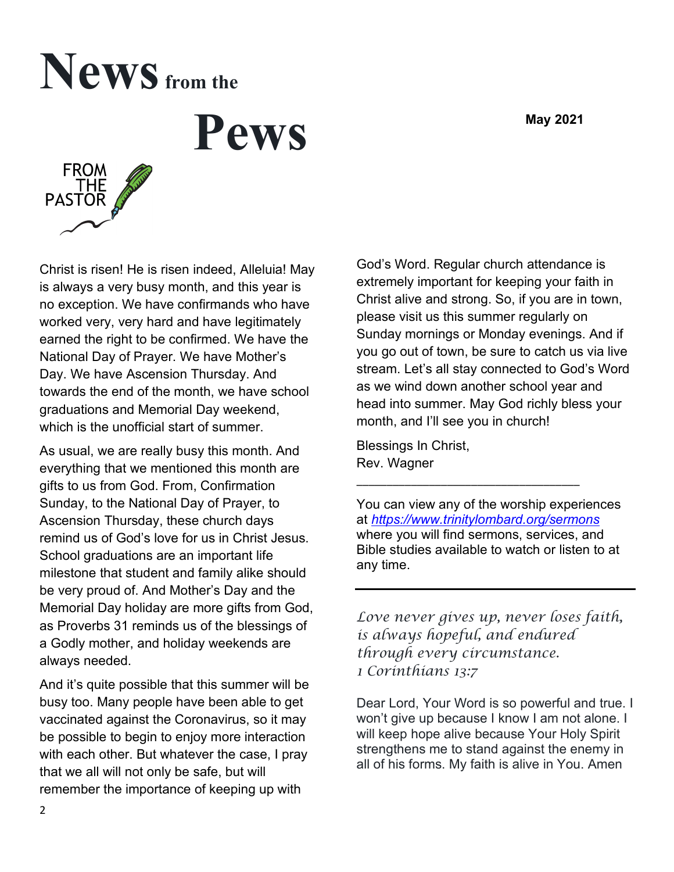

## **Pews**



Christ is risen! He is risen indeed, Alleluia! May is always a very busy month, and this year is no exception. We have confirmands who have worked very, very hard and have legitimately earned the right to be confirmed. We have the National Day of Prayer. We have Mother's Day. We have Ascension Thursday. And towards the end of the month, we have school graduations and Memorial Day weekend, which is the unofficial start of summer.

As usual, we are really busy this month. And everything that we mentioned this month are gifts to us from God. From, Confirmation Sunday, to the National Day of Prayer, to Ascension Thursday, these church days remind us of God's love for us in Christ Jesus. School graduations are an important life milestone that student and family alike should be very proud of. And Mother's Day and the Memorial Day holiday are more gifts from God, as Proverbs 31 reminds us of the blessings of a Godly mother, and holiday weekends are always needed.

And it's quite possible that this summer will be busy too. Many people have been able to get vaccinated against the Coronavirus, so it may be possible to begin to enjoy more interaction with each other. But whatever the case, I pray that we all will not only be safe, but will remember the importance of keeping up with

God's Word. Regular church attendance is extremely important for keeping your faith in Christ alive and strong. So, if you are in town, please visit us this summer regularly on Sunday mornings or Monday evenings. And if you go out of town, be sure to catch us via live stream. Let's all stay connected to God's Word as we wind down another school year and head into summer. May God richly bless your month, and I'll see you in church!

Blessings In Christ, Rev. Wagner

You can view any of the worship experiences at *<https://www.trinitylombard.org/sermons>* where you will find sermons, services, and Bible studies available to watch or listen to at any time.

\_\_\_\_\_\_\_\_\_\_\_\_\_\_\_\_\_\_\_\_\_\_\_\_\_\_\_\_\_\_\_\_\_\_\_\_\_

*Love never gives up, never loses faith, is always hopeful, and endured through every circumstance. 1 Corinthians 13:7*

Dear Lord, Your Word is so powerful and true. I won't give up because I know I am not alone. I will keep hope alive because Your Holy Spirit strengthens me to stand against the enemy in all of his forms. My faith is alive in You. Amen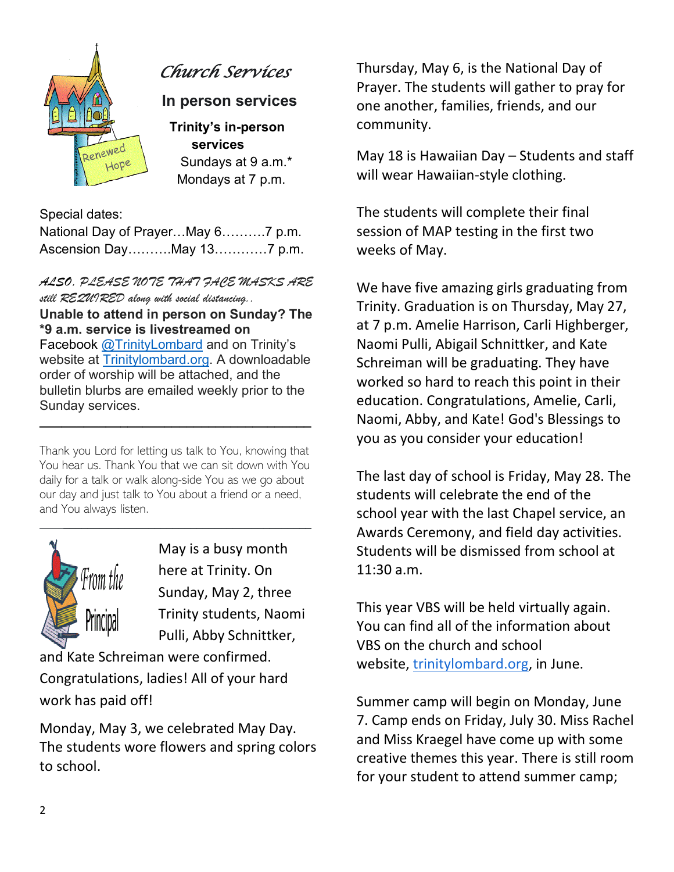

## *Church Services*

**In person services** 

 **Trinity's in-person services**  Sundays at 9 a.m.\* Mondays at 7 p.m.

Special dates:

| National Day of PrayerMay 67 p.m. |  |
|-----------------------------------|--|
| Ascension DayMay 137 p.m.         |  |

*ALSO, PLEASE NOTE THAT FACE MASKS ARE still REQUIRED along with social distancing..*

**Unable to attend in person on Sunday? The \*9 a.m. service is livestreamed on**

Facebook [@TrinityLombard](https://www.facebook.com/TrinityLombard) and on Trinity's website at [Trinitylombard.org.](https://www.trinitylombard.org/) A downloadable order of worship will be attached, and the bulletin blurbs are emailed weekly prior to the Sunday services.

**\_\_\_\_\_\_\_\_\_\_\_\_\_\_\_\_\_\_\_\_\_\_\_\_\_\_\_\_\_\_\_\_\_\_\_\_\_**

Thank you Lord for letting us talk to You, knowing that You hear us. Thank You that we can sit down with You daily for a talk or walk along-side You as we go about our day and just talk to You about a friend or a need, and You always listen.

 $\overline{\phantom{a}}$  , and the contract of the contract of the contract of the contract of the contract of the contract of the contract of the contract of the contract of the contract of the contract of the contract of the contrac



May is a busy month here at Trinity. On Sunday, May 2, three Trinity students, Naomi Pulli, Abby Schnittker,

and Kate Schreiman were confirmed. Congratulations, ladies! All of your hard work has paid off!

Monday, May 3, we celebrated May Day. The students wore flowers and spring colors to school.

Thursday, May 6, is the National Day of Prayer. The students will gather to pray for one another, families, friends, and our community.

May 18 is Hawaiian Day – Students and staff will wear Hawaiian-style clothing.

The students will complete their final session of MAP testing in the first two weeks of May.

We have five amazing girls graduating from Trinity. Graduation is on Thursday, May 27, at 7 p.m. Amelie Harrison, Carli Highberger, Naomi Pulli, Abigail Schnittker, and Kate Schreiman will be graduating. They have worked so hard to reach this point in their education. Congratulations, Amelie, Carli, Naomi, Abby, and Kate! God's Blessings to you as you consider your education!

The last day of school is Friday, May 28. The students will celebrate the end of the school year with the last Chapel service, an Awards Ceremony, and field day activities. Students will be dismissed from school at 11:30 a.m.

This year VBS will be held virtually again. You can find all of the information about VBS on the church and school website, [trinitylombard.org,](http://trinitylombard.org/) in June.

Summer camp will begin on Monday, June 7. Camp ends on Friday, July 30. Miss Rachel and Miss Kraegel have come up with some creative themes this year. There is still room for your student to attend summer camp;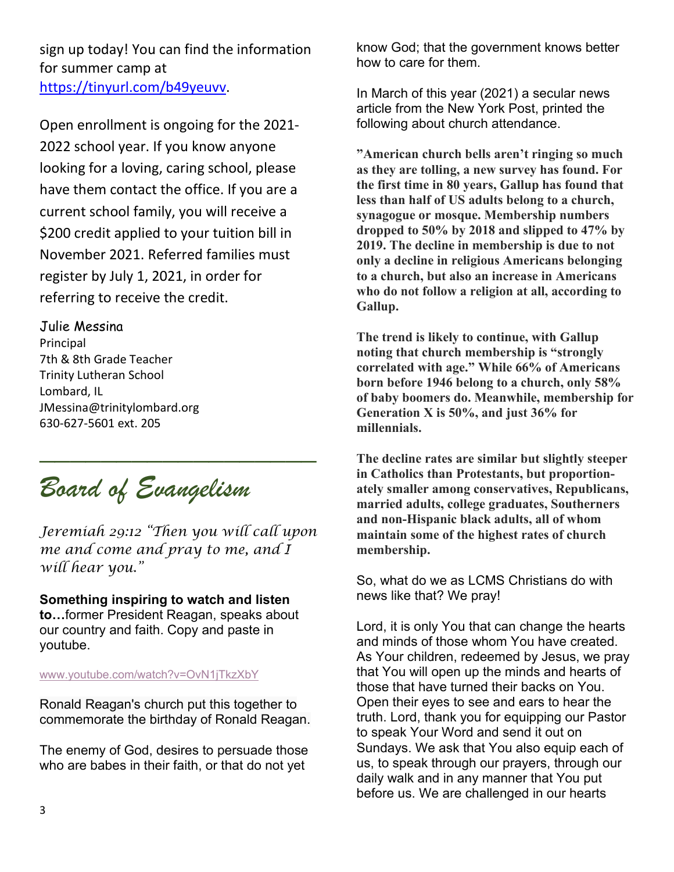sign up today! You can find the information for summer camp at [https://tinyurl.com/b49yeuvv.](https://tinyurl.com/b49yeuvv)

Open enrollment is ongoing for the 2021- 2022 school year. If you know anyone looking for a loving, caring school, please have them contact the office. If you are a current school family, you will receive a \$200 credit applied to your tuition bill in November 2021. Referred families must register by July 1, 2021, in order for referring to receive the credit.

## Julie Messina

Principal 7th & 8th Grade Teacher Trinity Lutheran School Lombard, IL JMessina@trinitylombard.org 630-627-5601 ext. 205

*Board of Evangelism*

*Jeremiah 29:12 "Then you will call upon me and come and pray to me, and I will hear you."*

*\_\_\_\_\_\_\_\_\_\_\_\_\_\_\_\_\_\_*

**Something inspiring to watch and listen to…**former President Reagan, speaks about our country and faith. Copy and paste in youtube.

[www.youtube.com/watch?v=OvN1jTkzXbY](https://www.youtube.com/watch?v=OvN1jTkzXbY)

Ronald Reagan's church put this together to commemorate the birthday of Ronald Reagan.

The enemy of God, desires to persuade those who are babes in their faith, or that do not yet

know God; that the government knows better how to care for them.

In March of this year (2021) a secular news article from the New York Post, printed the following about church attendance.

**"American church bells aren't ringing so much as they are tolling, a new survey has found. For the first time in 80 years, Gallup has found that less than half of US adults belong to a church, synagogue or mosque. Membership numbers dropped to 50% by 2018 and slipped to 47% by 2019. The decline in membership is due to not only a decline in religious Americans belonging to a church, but also an increase in Americans who do not follow a religion at all, according to Gallup.**

**The trend is likely to continue, with Gallup noting that church membership is "strongly correlated with age." While 66% of Americans born before 1946 belong to a church, only 58% of baby boomers do. Meanwhile, membership for Generation X is 50%, and just 36% for millennials.**

**The decline rates are similar but slightly steeper in Catholics than Protestants, but proportionately smaller among conservatives, Republicans, married adults, college graduates, Southerners and non-Hispanic black adults, all of whom maintain some of the highest rates of church membership.**

So, what do we as LCMS Christians do with news like that? We pray!

Lord, it is only You that can change the hearts and minds of those whom You have created. As Your children, redeemed by Jesus, we pray that You will open up the minds and hearts of those that have turned their backs on You. Open their eyes to see and ears to hear the truth. Lord, thank you for equipping our Pastor to speak Your Word and send it out on Sundays. We ask that You also equip each of us, to speak through our prayers, through our daily walk and in any manner that You put before us. We are challenged in our hearts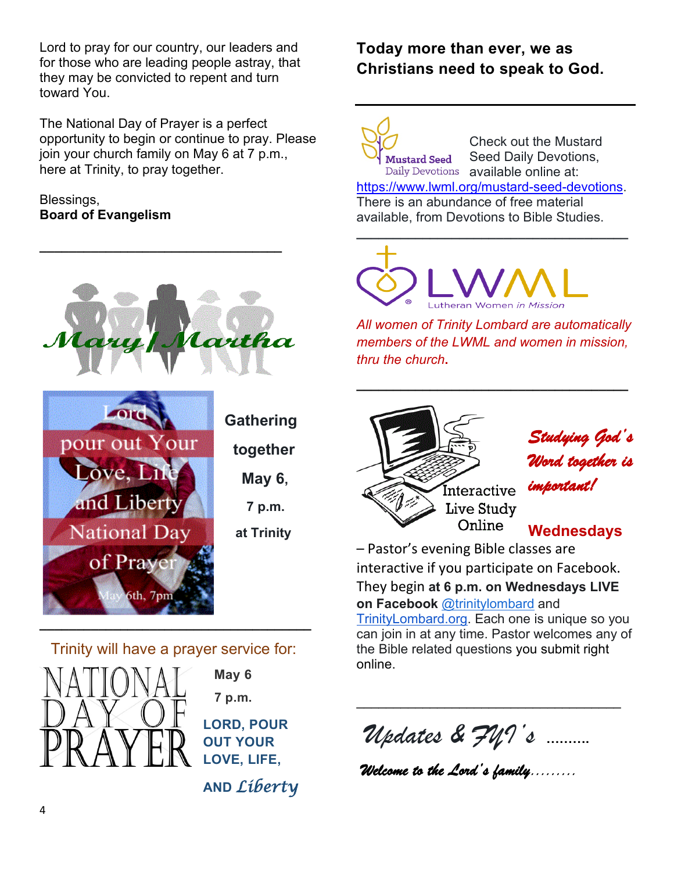Lord to pray for our country, our leaders and for those who are leading people astray, that they may be convicted to repent and turn toward You.

The National Day of Prayer is a perfect opportunity to begin or continue to pray. Please join your church family on May 6 at 7 p.m., here at Trinity, to pray together.

Blessings, **Board of Evangelism**



**\_\_\_\_\_\_\_\_\_\_\_\_\_\_\_\_\_\_\_\_\_\_\_\_\_\_\_\_\_\_\_\_\_**



Trinity will have a prayer service for:



 **May 6 7 p.m.**

**LORD, POUR OUT YOUR LOVE, LIFE,** 

 **AND** *Liberty* 

## **Today more than ever, we as Christians need to speak to God.**

Check out the Mustard Seed Daily Devotions, **Mustard Seed** Daily Devotions available online at: [https://www.lwml.org/mustard-seed-devotions.](https://www.lwml.org/mustard-seed-devotions) There is an abundance of free material available, from Devotions to Bible Studies.



*All women of Trinity Lombard are automatically members of the LWML and women in mission, thru the church***.**

**\_\_\_\_\_\_\_\_\_\_\_\_\_\_\_\_\_\_\_\_\_\_\_\_\_\_\_\_\_\_\_\_\_\_\_\_\_**



*Studying God's Word together is important!* 

**Wednesdays** 

– Pastor's evening Bible classes are interactive if you participate on Facebook. They begin **at 6 p.m. on Wednesdays LIVE on Facebook** [@trinitylombard](https://www.facebook.com/TrinityLombard) and [TrinityLombard.org.](https://www.trinitylombard.org/) Each one is unique so you can join in at any time. Pastor welcomes any of the Bible related questions you submit right online.

*Updates & FYI's* **……….**

\_\_\_\_\_\_\_\_\_\_\_\_\_\_\_\_\_\_\_\_\_\_\_\_\_\_\_\_\_\_\_\_\_\_\_\_

*Welcome to the Lord's family………*